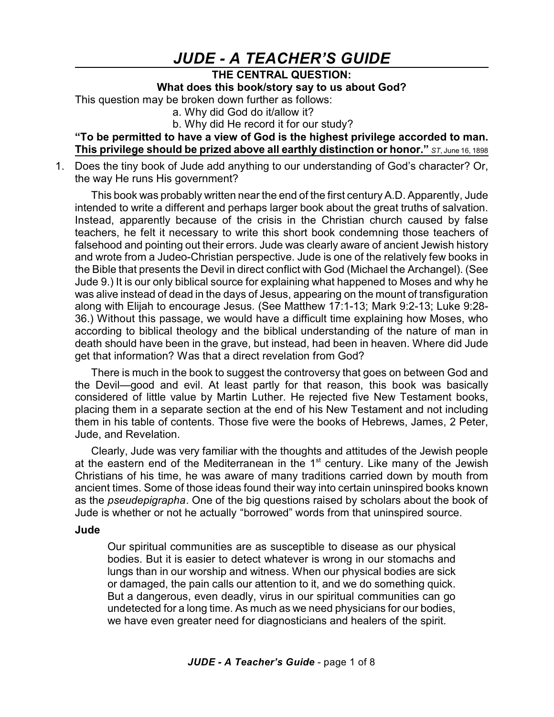## *JUDE - A TEACHER'S GUIDE*

## **THE CENTRAL QUESTION:**

**What does this book/story say to us about God?**

This question may be broken down further as follows:

a. Why did God do it/allow it?

b. Why did He record it for our study?

**"To be permitted to have a view of God is the highest privilege accorded to man. This privilege should be prized above all earthly distinction or honor."** *ST*, June 16, <sup>1898</sup>

1. Does the tiny book of Jude add anything to our understanding of God's character? Or, the way He runs His government?

This book was probably written near the end of the first century A.D. Apparently, Jude intended to write a different and perhaps larger book about the great truths of salvation. Instead, apparently because of the crisis in the Christian church caused by false teachers, he felt it necessary to write this short book condemning those teachers of falsehood and pointing out their errors. Jude was clearly aware of ancient Jewish history and wrote from a Judeo-Christian perspective. Jude is one of the relatively few books in the Bible that presents the Devil in direct conflict with God (Michael the Archangel). (See Jude 9.) It is our only biblical source for explaining what happened to Moses and why he was alive instead of dead in the days of Jesus, appearing on the mount of transfiguration along with Elijah to encourage Jesus. (See Matthew 17:1-13; Mark 9:2-13; Luke 9:28- 36.) Without this passage, we would have a difficult time explaining how Moses, who according to biblical theology and the biblical understanding of the nature of man in death should have been in the grave, but instead, had been in heaven. Where did Jude get that information? Was that a direct revelation from God?

There is much in the book to suggest the controversy that goes on between God and the Devil—good and evil. At least partly for that reason, this book was basically considered of little value by Martin Luther. He rejected five New Testament books, placing them in a separate section at the end of his New Testament and not including them in his table of contents. Those five were the books of Hebrews, James, 2 Peter, Jude, and Revelation.

Clearly, Jude was very familiar with the thoughts and attitudes of the Jewish people at the eastern end of the Mediterranean in the 1<sup>st</sup> century. Like many of the Jewish Christians of his time, he was aware of many traditions carried down by mouth from ancient times. Some of those ideas found their way into certain uninspired books known as the *pseudepigrapha*. One of the big questions raised by scholars about the book of Jude is whether or not he actually "borrowed" words from that uninspired source.

## **Jude**

Our spiritual communities are as susceptible to disease as our physical bodies. But it is easier to detect whatever is wrong in our stomachs and lungs than in our worship and witness. When our physical bodies are sick or damaged, the pain calls our attention to it, and we do something quick. But a dangerous, even deadly, virus in our spiritual communities can go undetected for a long time. As much as we need physicians for our bodies, we have even greater need for diagnosticians and healers of the spirit.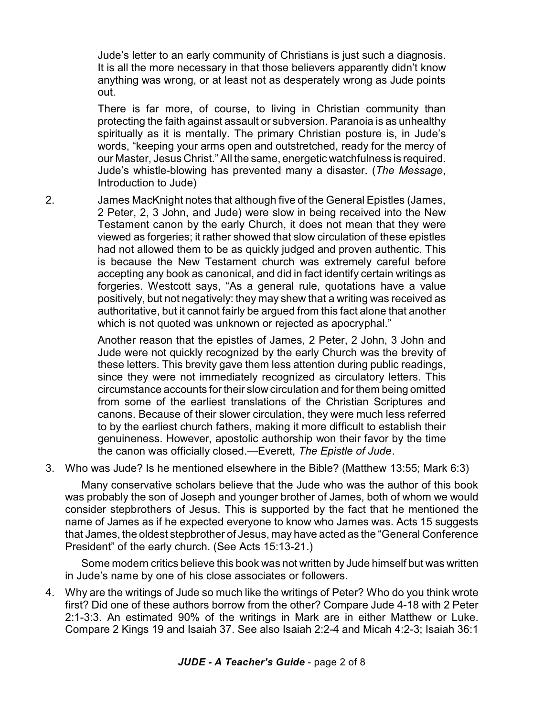Jude's letter to an early community of Christians is just such a diagnosis. It is all the more necessary in that those believers apparently didn't know anything was wrong, or at least not as desperately wrong as Jude points out.

There is far more, of course, to living in Christian community than protecting the faith against assault or subversion. Paranoia is as unhealthy spiritually as it is mentally. The primary Christian posture is, in Jude's words, "keeping your arms open and outstretched, ready for the mercy of our Master, Jesus Christ." All the same, energetic watchfulness is required. Jude's whistle-blowing has prevented many a disaster. (*The Message*, Introduction to Jude)

2. James MacKnight notes that although five of the General Epistles (James, 2 Peter, 2, 3 John, and Jude) were slow in being received into the New Testament canon by the early Church, it does not mean that they were viewed as forgeries; it rather showed that slow circulation of these epistles had not allowed them to be as quickly judged and proven authentic. This is because the New Testament church was extremely careful before accepting any book as canonical, and did in fact identify certain writings as forgeries. Westcott says, "As a general rule, quotations have a value positively, but not negatively: they may shew that a writing was received as authoritative, but it cannot fairly be argued from this fact alone that another which is not quoted was unknown or rejected as apocryphal."

> Another reason that the epistles of James, 2 Peter, 2 John, 3 John and Jude were not quickly recognized by the early Church was the brevity of these letters. This brevity gave them less attention during public readings, since they were not immediately recognized as circulatory letters. This circumstance accounts for their slow circulation and for them being omitted from some of the earliest translations of the Christian Scriptures and canons. Because of their slower circulation, they were much less referred to by the earliest church fathers, making it more difficult to establish their genuineness. However, apostolic authorship won their favor by the time the canon was officially closed.—Everett, *The Epistle of Jude*.

3. Who was Jude? Is he mentioned elsewhere in the Bible? (Matthew 13:55; Mark 6:3)

Many conservative scholars believe that the Jude who was the author of this book was probably the son of Joseph and younger brother of James, both of whom we would consider stepbrothers of Jesus. This is supported by the fact that he mentioned the name of James as if he expected everyone to know who James was. Acts 15 suggests that James, the oldest stepbrother of Jesus, may have acted as the "General Conference President" of the early church. (See Acts 15:13-21.)

Some modern critics believe this book was not written by Jude himself but was written in Jude's name by one of his close associates or followers.

4. Why are the writings of Jude so much like the writings of Peter? Who do you think wrote first? Did one of these authors borrow from the other? Compare Jude 4-18 with 2 Peter 2:1-3:3. An estimated 90% of the writings in Mark are in either Matthew or Luke. Compare 2 Kings 19 and Isaiah 37. See also Isaiah 2:2-4 and Micah 4:2-3; Isaiah 36:1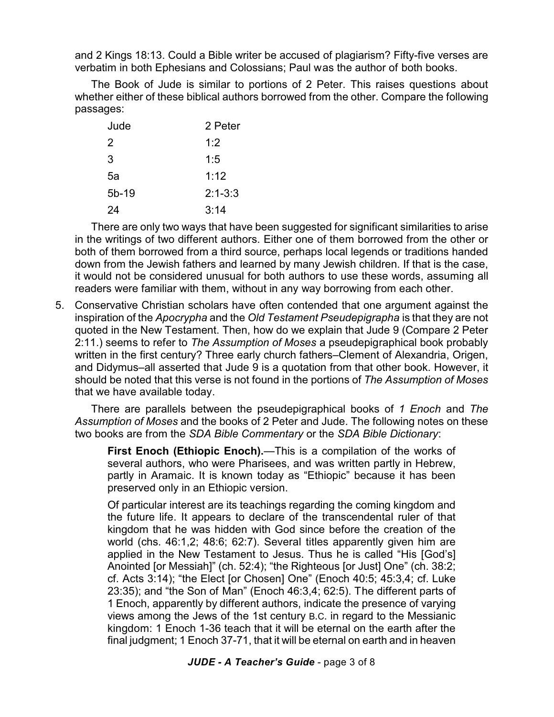and 2 Kings 18:13. Could a Bible writer be accused of plagiarism? Fifty-five verses are verbatim in both Ephesians and Colossians; Paul was the author of both books.

The Book of Jude is similar to portions of 2 Peter. This raises questions about whether either of these biblical authors borrowed from the other. Compare the following passages:

| Jude    | 2 Peter     |
|---------|-------------|
| 2       | 1:2         |
| 3       | 1:5         |
| 5a      | 1:12        |
| $5b-19$ | $2:1 - 3:3$ |
| 24      | 3:14        |

There are only two ways that have been suggested for significant similarities to arise in the writings of two different authors. Either one of them borrowed from the other or both of them borrowed from a third source, perhaps local legends or traditions handed down from the Jewish fathers and learned by many Jewish children. If that is the case, it would not be considered unusual for both authors to use these words, assuming all readers were familiar with them, without in any way borrowing from each other.

5. Conservative Christian scholars have often contended that one argument against the inspiration of the *Apocrypha* and the *Old Testament Pseudepigrapha* is that they are not quoted in the New Testament. Then, how do we explain that Jude 9 (Compare 2 Peter 2:11.) seems to refer to *The Assumption of Moses* a pseudepigraphical book probably written in the first century? Three early church fathers–Clement of Alexandria, Origen, and Didymus–all asserted that Jude 9 is a quotation from that other book. However, it should be noted that this verse is not found in the portions of *The Assumption of Moses* that we have available today.

There are parallels between the pseudepigraphical books of *1 Enoch* and *The Assumption of Moses* and the books of 2 Peter and Jude. The following notes on these two books are from the *SDA Bible Commentary* or the *SDA Bible Dictionary*:

**First Enoch (Ethiopic Enoch).**—This is a compilation of the works of several authors, who were Pharisees, and was written partly in Hebrew, partly in Aramaic. It is known today as "Ethiopic" because it has been preserved only in an Ethiopic version.

Of particular interest are its teachings regarding the coming kingdom and the future life. It appears to declare of the transcendental ruler of that kingdom that he was hidden with God since before the creation of the world (chs. 46:1,2; 48:6; 62:7). Several titles apparently given him are applied in the New Testament to Jesus. Thus he is called "His [God's] Anointed [or Messiah]" (ch. 52:4); "the Righteous [or Just] One" (ch. 38:2; cf. Acts 3:14); "the Elect [or Chosen] One" (Enoch 40:5; 45:3,4; cf. Luke 23:35); and "the Son of Man" (Enoch 46:3,4; 62:5). The different parts of 1 Enoch, apparently by different authors, indicate the presence of varying views among the Jews of the 1st century B.C. in regard to the Messianic kingdom: 1 Enoch 1-36 teach that it will be eternal on the earth after the final judgment; 1 Enoch 37-71, that it will be eternal on earth and in heaven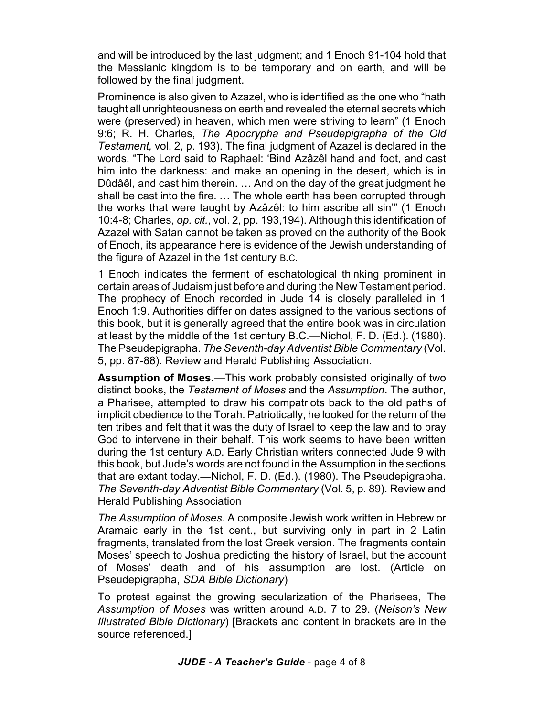and will be introduced by the last judgment; and 1 Enoch 91-104 hold that the Messianic kingdom is to be temporary and on earth, and will be followed by the final judgment.

Prominence is also given to Azazel, who is identified as the one who "hath taught all unrighteousness on earth and revealed the eternal secrets which were (preserved) in heaven, which men were striving to learn" (1 Enoch 9:6; R. H. Charles, *The Apocrypha and Pseudepigrapha of the Old Testament,* vol. 2, p. 193). The final judgment of Azazel is declared in the words, "The Lord said to Raphael: 'Bind Azâzêl hand and foot, and cast him into the darkness: and make an opening in the desert, which is in Dûdâêl, and cast him therein. … And on the day of the great judgment he shall be cast into the fire. … The whole earth has been corrupted through the works that were taught by Azâzêl: to him ascribe all sin'" (1 Enoch 10:4-8; Charles, *op. cit.*, vol. 2, pp. 193,194). Although this identification of Azazel with Satan cannot be taken as proved on the authority of the Book of Enoch, its appearance here is evidence of the Jewish understanding of the figure of Azazel in the 1st century B.C.

1 Enoch indicates the ferment of eschatological thinking prominent in certain areas of Judaism just before and during the New Testament period. The prophecy of Enoch recorded in Jude 14 is closely paralleled in 1 Enoch 1:9. Authorities differ on dates assigned to the various sections of this book, but it is generally agreed that the entire book was in circulation at least by the middle of the 1st century B.C.—Nichol, F. D. (Ed.). (1980). The Pseudepigrapha. *The Seventh-day Adventist Bible Commentary* (Vol. 5, pp. 87-88). Review and Herald Publishing Association.

**Assumption of Moses.**—This work probably consisted originally of two distinct books, the *Testament of Moses* and the *Assumption*. The author, a Pharisee, attempted to draw his compatriots back to the old paths of implicit obedience to the Torah. Patriotically, he looked for the return of the ten tribes and felt that it was the duty of Israel to keep the law and to pray God to intervene in their behalf. This work seems to have been written during the 1st century A.D. Early Christian writers connected Jude 9 with this book, but Jude's words are not found in the Assumption in the sections that are extant today.—Nichol, F. D. (Ed.). (1980). The Pseudepigrapha. *The Seventh-day Adventist Bible Commentary* (Vol. 5, p. 89). Review and Herald Publishing Association

*The Assumption of Moses.* A composite Jewish work written in Hebrew or Aramaic early in the 1st cent., but surviving only in part in 2 Latin fragments, translated from the lost Greek version. The fragments contain Moses' speech to Joshua predicting the history of Israel, but the account of Moses' death and of his assumption are lost. (Article on Pseudepigrapha, *SDA Bible Dictionary*)

To protest against the growing secularization of the Pharisees, The *Assumption of Moses* was written around A.D. 7 to 29. (*Nelson's New Illustrated Bible Dictionary*) [Brackets and content in brackets are in the source referenced.]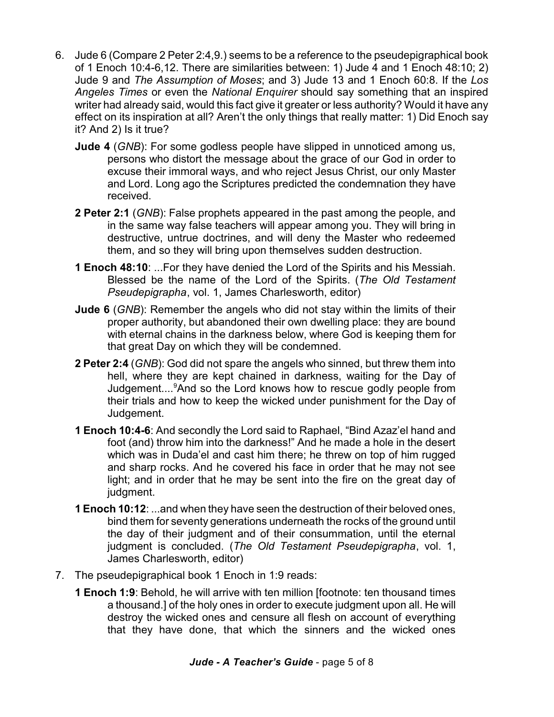- 6. Jude 6 (Compare 2 Peter 2:4,9.) seems to be a reference to the pseudepigraphical book of 1 Enoch 10:4-6,12. There are similarities between: 1) Jude 4 and 1 Enoch 48:10; 2) Jude 9 and *The Assumption of Moses*; and 3) Jude 13 and 1 Enoch 60:8. If the *Los Angeles Times* or even the *National Enquirer* should say something that an inspired writer had already said, would this fact give it greater or less authority? Would it have any effect on its inspiration at all? Aren't the only things that really matter: 1) Did Enoch say it? And 2) Is it true?
	- **Jude 4** (*GNB*): For some godless people have slipped in unnoticed among us, persons who distort the message about the grace of our God in order to excuse their immoral ways, and who reject Jesus Christ, our only Master and Lord. Long ago the Scriptures predicted the condemnation they have received.
	- **2 Peter 2:1** (*GNB*): False prophets appeared in the past among the people, and in the same way false teachers will appear among you. They will bring in destructive, untrue doctrines, and will deny the Master who redeemed them, and so they will bring upon themselves sudden destruction.
	- **1 Enoch 48:10**: ...For they have denied the Lord of the Spirits and his Messiah. Blessed be the name of the Lord of the Spirits. (*The Old Testament Pseudepigrapha*, vol. 1, James Charlesworth, editor)
	- **Jude 6** (*GNB*): Remember the angels who did not stay within the limits of their proper authority, but abandoned their own dwelling place: they are bound with eternal chains in the darkness below, where God is keeping them for that great Day on which they will be condemned.
	- **2 Peter 2:4** (*GNB*): God did not spare the angels who sinned, but threw them into hell, where they are kept chained in darkness, waiting for the Day of Judgement....<sup>9</sup>And so the Lord knows how to rescue godly people from their trials and how to keep the wicked under punishment for the Day of Judgement.
	- **1 Enoch 10:4-6**: And secondly the Lord said to Raphael, "Bind Azaz'el hand and foot (and) throw him into the darkness!" And he made a hole in the desert which was in Duda'el and cast him there; he threw on top of him rugged and sharp rocks. And he covered his face in order that he may not see light; and in order that he may be sent into the fire on the great day of judgment.
	- **1 Enoch 10:12**: ...and when they have seen the destruction of their beloved ones, bind them for seventy generations underneath the rocks of the ground until the day of their judgment and of their consummation, until the eternal judgment is concluded. (*The Old Testament Pseudepigrapha*, vol. 1, James Charlesworth, editor)
- 7. The pseudepigraphical book 1 Enoch in 1:9 reads:
	- **1 Enoch 1:9**: Behold, he will arrive with ten million [footnote: ten thousand times a thousand.] of the holy ones in order to execute judgment upon all. He will destroy the wicked ones and censure all flesh on account of everything that they have done, that which the sinners and the wicked ones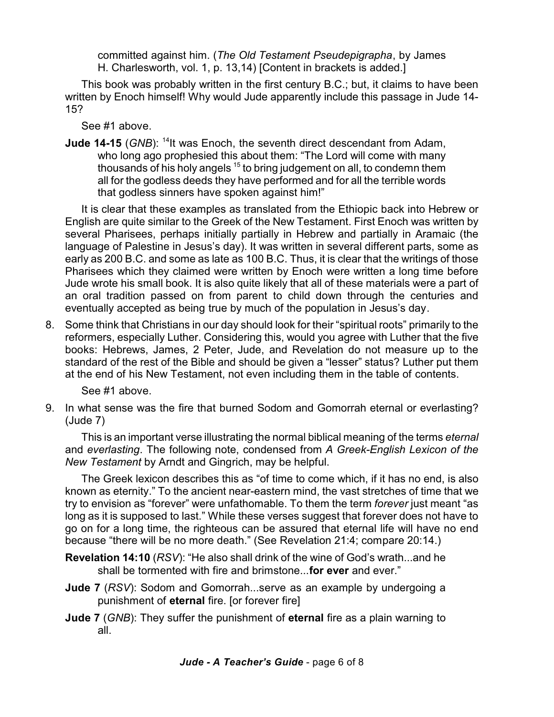committed against him. (*The Old Testament Pseudepigrapha*, by James H. Charlesworth, vol. 1, p. 13,14) [Content in brackets is added.]

This book was probably written in the first century B.C.; but, it claims to have been written by Enoch himself! Why would Jude apparently include this passage in Jude 14- 15?

See #1 above.

**Jude 14-15** (GNB): <sup>14</sup>It was Enoch, the seventh direct descendant from Adam, who long ago prophesied this about them: "The Lord will come with many thousands of his holy angels <sup>15</sup> to bring judgement on all, to condemn them all for the godless deeds they have performed and for all the terrible words that godless sinners have spoken against him!"

It is clear that these examples as translated from the Ethiopic back into Hebrew or English are quite similar to the Greek of the New Testament. First Enoch was written by several Pharisees, perhaps initially partially in Hebrew and partially in Aramaic (the language of Palestine in Jesus's day). It was written in several different parts, some as early as 200 B.C. and some as late as 100 B.C. Thus, it is clear that the writings of those Pharisees which they claimed were written by Enoch were written a long time before Jude wrote his small book. It is also quite likely that all of these materials were a part of an oral tradition passed on from parent to child down through the centuries and eventually accepted as being true by much of the population in Jesus's day.

8. Some think that Christians in our day should look for their "spiritual roots" primarily to the reformers, especially Luther. Considering this, would you agree with Luther that the five books: Hebrews, James, 2 Peter, Jude, and Revelation do not measure up to the standard of the rest of the Bible and should be given a "lesser" status? Luther put them at the end of his New Testament, not even including them in the table of contents.

See #1 above.

9. In what sense was the fire that burned Sodom and Gomorrah eternal or everlasting? (Jude 7)

This is an important verse illustrating the normal biblical meaning of the terms *eternal* and *everlasting*. The following note, condensed from *A Greek-English Lexicon of the New Testament* by Arndt and Gingrich, may be helpful.

The Greek lexicon describes this as "of time to come which, if it has no end, is also known as eternity." To the ancient near-eastern mind, the vast stretches of time that we try to envision as "forever" were unfathomable. To them the term *forever* just meant "as long as it is supposed to last." While these verses suggest that forever does not have to go on for a long time, the righteous can be assured that eternal life will have no end because "there will be no more death." (See Revelation 21:4; compare 20:14.)

- **Revelation 14:10** (*RSV*): "He also shall drink of the wine of God's wrath...and he shall be tormented with fire and brimstone...**for ever** and ever."
- **Jude 7** (*RSV*): Sodom and Gomorrah...serve as an example by undergoing a punishment of **eternal** fire. [or forever fire]
- **Jude 7** (*GNB*): They suffer the punishment of **eternal** fire as a plain warning to all.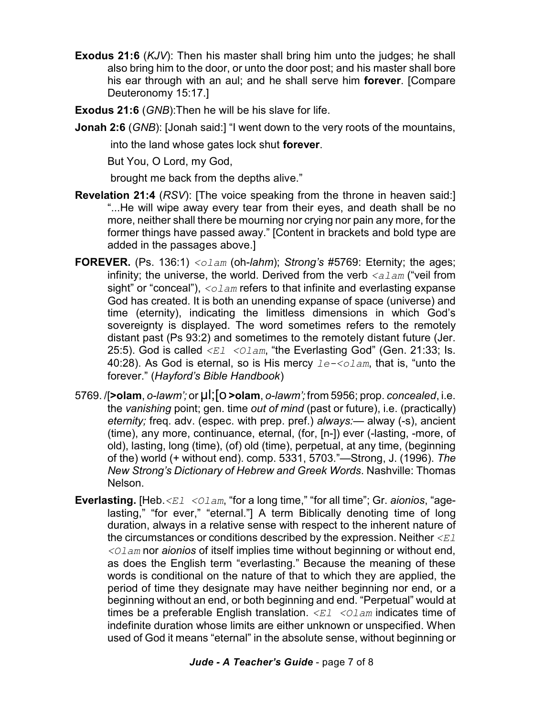- **Exodus 21:6** (*KJV*): Then his master shall bring him unto the judges; he shall also bring him to the door, or unto the door post; and his master shall bore his ear through with an aul; and he shall serve him **forever**. [Compare Deuteronomy 15:17.]
- **Exodus 21:6** (*GNB*):Then he will be his slave for life.
- **Jonah 2:6** (*GNB*): [Jonah said:] "I went down to the very roots of the mountains,

into the land whose gates lock shut **forever**.

But You, O Lord, my God,

brought me back from the depths alive."

- **Revelation 21:4** (*RSV*): [The voice speaking from the throne in heaven said:] "...He will wipe away every tear from their eyes, and death shall be no more, neither shall there be mourning nor crying nor pain any more, for the former things have passed away." [Content in brackets and bold type are added in the passages above.]
- **FOREVER.** (Ps. 136:1) *<olam* (oh-*lahm*); *Strong's* #5769: Eternity; the ages; infinity; the universe, the world. Derived from the verb *<alam* ("veil from sight" or "conceal"), *<olam* refers to that infinite and everlasting expanse God has created. It is both an unending expanse of space (universe) and time (eternity), indicating the limitless dimensions in which God's sovereignty is displayed. The word sometimes refers to the remotely distant past (Ps 93:2) and sometimes to the remotely distant future (Jer. 25:5). God is called  $\langle EL \rangle$   $\langle O L \rangle$   $\langle E \rangle$  the Everlasting God" (Gen. 21:33; Is. 40:28). As God is eternal, so is His mercy *le-<olam*, that is, "unto the forever." (*Hayford's Bible Handbook*)
- 5769. *(***>olam**, *o-lawm';* or **µl; [O >olam**, *o-lawm';* from 5956; prop. *concealed*, i.e. the *vanishing* point; gen. time *out of mind* (past or future), i.e. (practically) *eternity;* freq. adv. (espec. with prep. pref.) *always:*— alway (-s), ancient (time), any more, continuance, eternal, (for, [n-]) ever (-lasting, -more, of old), lasting, long (time), (of) old (time), perpetual, at any time, (beginning of the) world (+ without end). comp. 5331, 5703."—Strong, J. (1996). *The New Strong's Dictionary of Hebrew and Greek Words*. Nashville: Thomas Nelson.
- **Everlasting.** [Heb.*<El <Olam*, "for a long time," "for all time"; Gr. *aionios*, "agelasting," "for ever," "eternal."] A term Biblically denoting time of long duration, always in a relative sense with respect to the inherent nature of the circumstances or conditions described by the expression. Neither *<El <Olam* nor *aionios* of itself implies time without beginning or without end, as does the English term "everlasting." Because the meaning of these words is conditional on the nature of that to which they are applied, the period of time they designate may have neither beginning nor end, or a beginning without an end, or both beginning and end. "Perpetual" would at times be a preferable English translation. *<El <Olam* indicates time of indefinite duration whose limits are either unknown or unspecified. When used of God it means "eternal" in the absolute sense, without beginning or

*Jude - A Teacher's Guide* - page 7 of 8